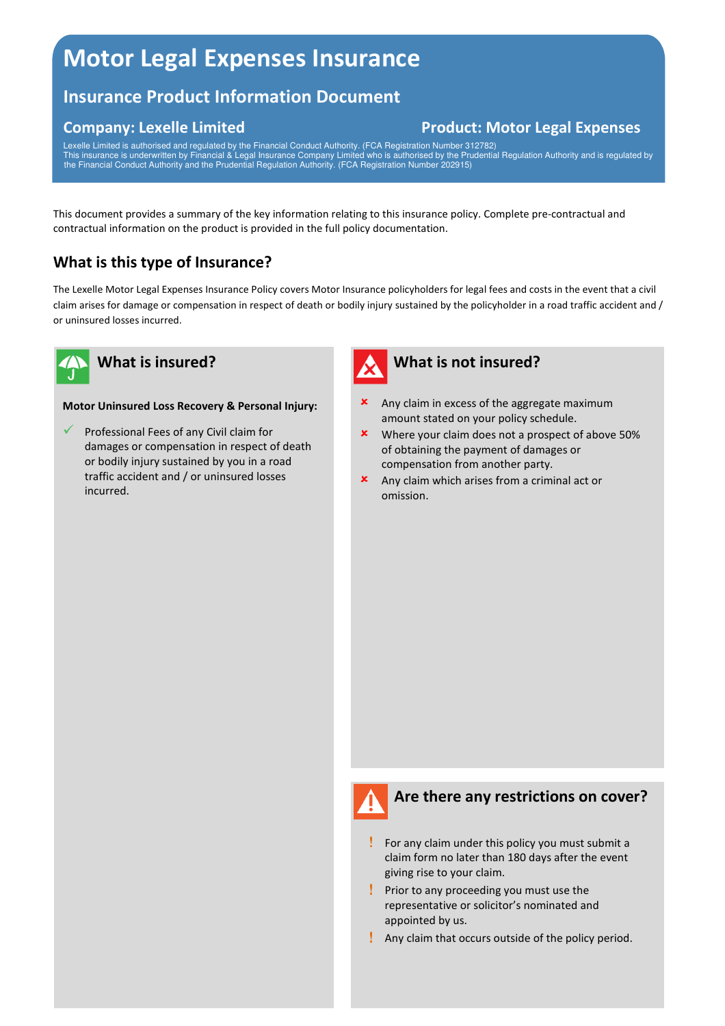# **Motor Legal Expenses Insurance**

# **Insurance Product Information Document**

# **Company: Lexelle Limited Company: Lexelle Limited Company: Lexelle Limited Company: Lexelle Limited Company: A Limited Company: A Limited Company: Lexelle Limited Company: Lexelle Limited Company: Lexelle Limited Company:**

Lexelle Limited is authorised and regulated by the Financial Conduct Authority. (FCA Registration Number 312782) This insurance is underwritten by Financial & Legal Insurance Company Limited who is authorised by the Prudential Regulation Authority and is regulated by the Financial Conduct Authority and the Prudential Regulation Authority. (FCA Registration Number 202915)

This document provides a summary of the key information relating to this insurance policy. Complete pre-contractual and contractual information on the product is provided in the full policy documentation.

# **What is this type of Insurance?**

The Lexelle Motor Legal Expenses Insurance Policy covers Motor Insurance policyholders for legal fees and costs in the event that a civil claim arises for damage or compensation in respect of death or bodily injury sustained by the policyholder in a road traffic accident and / or uninsured losses incurred.



### **What is insured?**

#### **Motor Uninsured Loss Recovery & Personal Injury:**

 $\checkmark$  Professional Fees of any Civil claim for damages or compensation in respect of death or bodily injury sustained by you in a road traffic accident and / or uninsured losses incurred.



#### **What is not insured?**

- **x** Any claim in excess of the aggregate maximum amount stated on your policy schedule.
- Where your claim does not a prospect of above 50% of obtaining the payment of damages or compensation from another party.
- Any claim which arises from a criminal act or omission.



#### **Are there any restrictions on cover?**

- ! For any claim under this policy you must submit a claim form no later than 180 days after the event giving rise to your claim.
- ! Prior to any proceeding you must use the representative or solicitor's nominated and appointed by us.
- ! Any claim that occurs outside of the policy period.